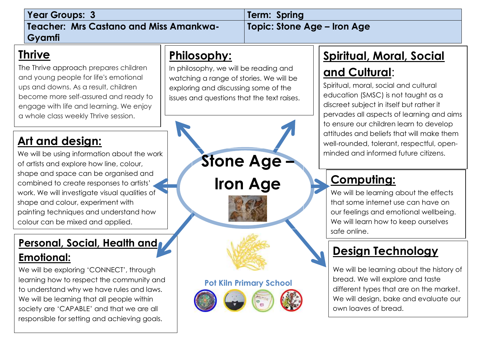| <b>Year Groups: 3</b>                         | Term: Spring                |
|-----------------------------------------------|-----------------------------|
| <b>Teacher: Mrs Castano and Miss Amankwa-</b> | Topic: Stone Age – Iron Age |
| Gyamfi                                        |                             |

#### **Thrive**

. become more self-assured and ready to The Thrive approach prepares children and y[oung pe](http://www.google.com/url?sa=i&rct=j&q=&esrc=s&source=images&cd=&cad=rja&uact=8&ved=2ahUKEwi98_bthqvcAhUtMuwKHRrPAPIQjRx6BAgBEAU&url=http://www.davisarts.org/event/robin-hood/&psig=AOvVaw2OBOvdDcZzncVX6eNEk2e_&ust=1532084854145451)ople for life's emotional ups and downs. As a result, children engage with life and learning. We enjoy a whole class weekly Thrive session.

#### **Art and design:**

We will be using information about the work of artists and explore how line, colour, shape and space can be organised and combined to create responses to artists' work. We will investigate visual qualities of shape and colour, experiment with painting techniques and understand how colour can be mixed and applied.

#### **Personal, Social, Health and Emotional:**

We will be exploring 'CONNECT', through learning how to respect the community and to understand why we have rules and laws. We will be learning that all people within society are 'CAPABLE' and that we are all responsible for setting and achieving goals.

#### **Philosophy:**

In philosophy, we will be reading and watching a range of stories. We will be exploring and discussing some of the issues and questions that the text raises.

# **Pot Kiln Primary School Stone Age – Iron Age**

#### **Spiritual, Moral, Social**

#### **and Cultural**:

Spiritual, moral, social and cultural education (SMSC) is not taught as a discreet subject in itself but rather it pervades all aspects of learning and aims to ensure our children learn to develop attitudes and beliefs that will make them well-rounded, tolerant, respectful, openminded and informed future citizens.

### **Computing:**

We will be learning about the effects that some internet use can have on our feelings and emotional wellbeing. We will learn how to keep ourselves safe online.

#### **Design Technology**

We will be learning about the history of bread. We will explore and taste different types that are on the market. We will design, bake and evaluate our own loaves of bread.